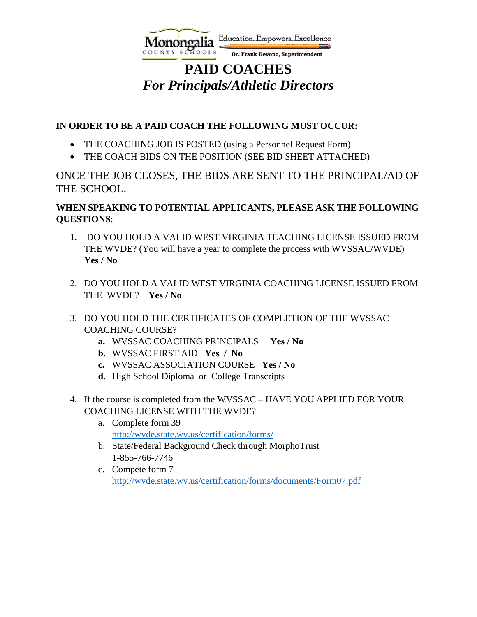

# **PAID COACHES** *For Principals/Athletic Directors*

### **IN ORDER TO BE A PAID COACH THE FOLLOWING MUST OCCUR:**

- THE COACHING JOB IS POSTED (using a Personnel Request Form)
- THE COACH BIDS ON THE POSITION (SEE BID SHEET ATTACHED)

ONCE THE JOB CLOSES, THE BIDS ARE SENT TO THE PRINCIPAL/AD OF THE SCHOOL.

#### **WHEN SPEAKING TO POTENTIAL APPLICANTS, PLEASE ASK THE FOLLOWING QUESTIONS**:

- **1.** DO YOU HOLD A VALID WEST VIRGINIA TEACHING LICENSE ISSUED FROM THE WVDE? (You will have a year to complete the process with WVSSAC/WVDE) **Yes / No**
- 2. DO YOU HOLD A VALID WEST VIRGINIA COACHING LICENSE ISSUED FROM THE WVDE? **Yes / No**
- 3. DO YOU HOLD THE CERTIFICATES OF COMPLETION OF THE WVSSAC COACHING COURSE?
	- **a.** WVSSAC COACHING PRINCIPALS **Yes / No**
	- **b.** WVSSAC FIRST AID **Yes / No**
	- **c.** WVSSAC ASSOCIATION COURSE **Yes / No**
	- **d.** High School Diploma or College Transcripts
- 4. If the course is completed from the WVSSAC HAVE YOU APPLIED FOR YOUR COACHING LICENSE WITH THE WVDE?
	- a. Complete form 39 <http://wvde.state.wv.us/certification/forms/>
	- b. State/Federal Background Check through MorphoTrust 1-855-766-7746
	- c. Compete form 7 <http://wvde.state.wv.us/certification/forms/documents/Form07.pdf>